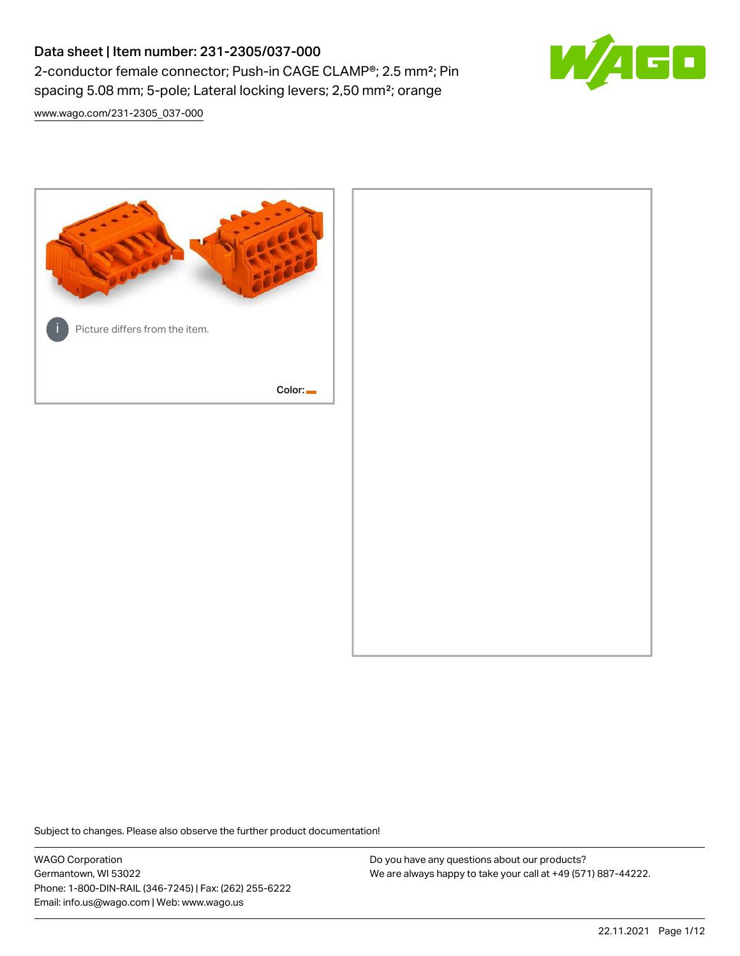# Data sheet | Item number: 231-2305/037-000 2-conductor female connector; Push-in CAGE CLAMP®; 2.5 mm²; Pin spacing 5.08 mm; 5-pole; Lateral locking levers; 2,50 mm²; orange



[www.wago.com/231-2305\\_037-000](http://www.wago.com/231-2305_037-000)



Subject to changes. Please also observe the further product documentation!

WAGO Corporation Germantown, WI 53022 Phone: 1-800-DIN-RAIL (346-7245) | Fax: (262) 255-6222 Email: info.us@wago.com | Web: www.wago.us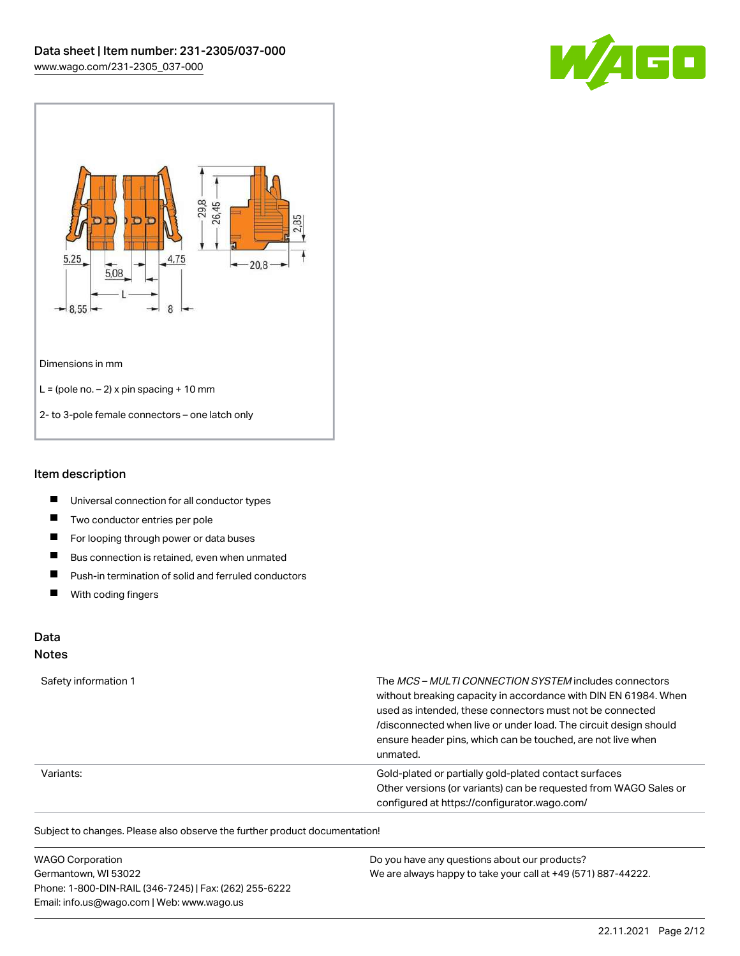



### Item description

- $\blacksquare$ Universal connection for all conductor types
- $\blacksquare$ Two conductor entries per pole
- $\blacksquare$ For looping through power or data buses
- $\blacksquare$ Bus connection is retained, even when unmated
- $\blacksquare$ Push-in termination of solid and ferruled conductors
- $\blacksquare$ With coding fingers

## Data

#### Notes

| Safety information 1 | The MCS-MULTI CONNECTION SYSTEM includes connectors<br>without breaking capacity in accordance with DIN EN 61984. When<br>used as intended, these connectors must not be connected<br>/disconnected when live or under load. The circuit design should<br>ensure header pins, which can be touched, are not live when<br>unmated. |
|----------------------|-----------------------------------------------------------------------------------------------------------------------------------------------------------------------------------------------------------------------------------------------------------------------------------------------------------------------------------|
| Variants:            | Gold-plated or partially gold-plated contact surfaces<br>Other versions (or variants) can be requested from WAGO Sales or<br>configured at https://configurator.wago.com/                                                                                                                                                         |

Subject to changes. Please also observe the further product documentation!

| <b>WAGO Corporation</b>                                | Do you have any questions about our products?                 |
|--------------------------------------------------------|---------------------------------------------------------------|
| Germantown, WI 53022                                   | We are always happy to take your call at +49 (571) 887-44222. |
| Phone: 1-800-DIN-RAIL (346-7245)   Fax: (262) 255-6222 |                                                               |
| Email: info.us@wago.com   Web: www.wago.us             |                                                               |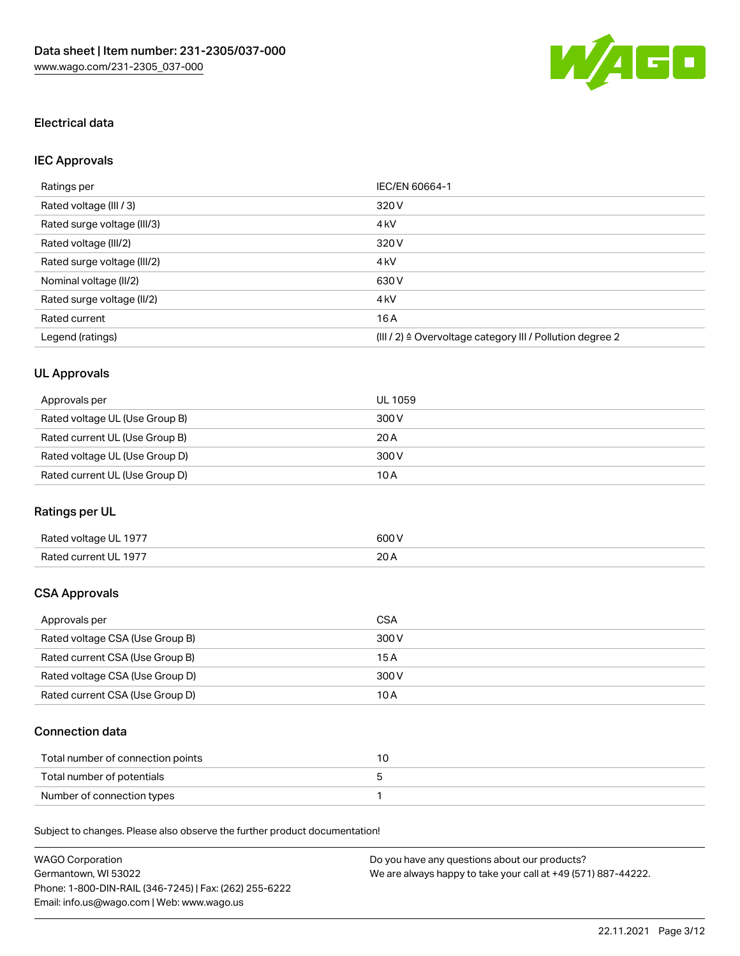

### Electrical data

## IEC Approvals

| Ratings per                 | IEC/EN 60664-1                                                        |
|-----------------------------|-----------------------------------------------------------------------|
| Rated voltage (III / 3)     | 320 V                                                                 |
| Rated surge voltage (III/3) | 4 <sub>k</sub> V                                                      |
| Rated voltage (III/2)       | 320 V                                                                 |
| Rated surge voltage (III/2) | 4 <sub>k</sub> V                                                      |
| Nominal voltage (II/2)      | 630 V                                                                 |
| Rated surge voltage (II/2)  | 4 <sub>k</sub> V                                                      |
| Rated current               | 16A                                                                   |
| Legend (ratings)            | $(III / 2)$ $\triangle$ Overvoltage category III / Pollution degree 2 |

## UL Approvals

| Approvals per                  | UL 1059 |
|--------------------------------|---------|
| Rated voltage UL (Use Group B) | 300 V   |
| Rated current UL (Use Group B) | 20 A    |
| Rated voltage UL (Use Group D) | 300 V   |
| Rated current UL (Use Group D) | 10 A    |

### Ratings per UL

| Rated voltage UL 1977 | 600 V       |
|-----------------------|-------------|
| Rated current UL 1977 | 20h<br>20 A |

### CSA Approvals

| Approvals per                   | CSA   |
|---------------------------------|-------|
| Rated voltage CSA (Use Group B) | 300 V |
| Rated current CSA (Use Group B) | 15 A  |
| Rated voltage CSA (Use Group D) | 300 V |
| Rated current CSA (Use Group D) | 10 A  |

### Connection data

| Total number of connection points |  |
|-----------------------------------|--|
| Total number of potentials        |  |
| Number of connection types        |  |

Subject to changes. Please also observe the further product documentation!

| <b>WAGO Corporation</b>                                | Do you have any questions about our products?                 |
|--------------------------------------------------------|---------------------------------------------------------------|
| Germantown, WI 53022                                   | We are always happy to take your call at +49 (571) 887-44222. |
| Phone: 1-800-DIN-RAIL (346-7245)   Fax: (262) 255-6222 |                                                               |
| Email: info.us@wago.com   Web: www.wago.us             |                                                               |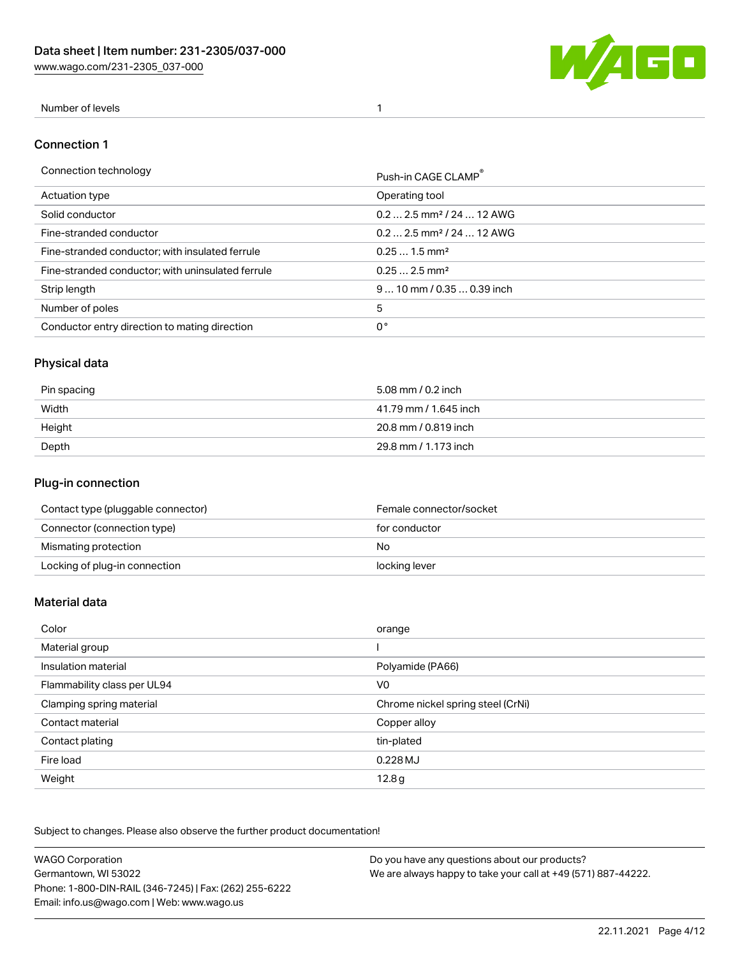[www.wago.com/231-2305\\_037-000](http://www.wago.com/231-2305_037-000)



### Number of levels 1

#### Connection 1

| Connection technology                             | Push-in CAGE CLAMP®                   |
|---------------------------------------------------|---------------------------------------|
| Actuation type                                    | Operating tool                        |
| Solid conductor                                   | $0.22.5$ mm <sup>2</sup> / 24  12 AWG |
| Fine-stranded conductor                           | $0.22.5$ mm <sup>2</sup> / 24  12 AWG |
| Fine-stranded conductor; with insulated ferrule   | $0.251.5$ mm <sup>2</sup>             |
| Fine-stranded conductor; with uninsulated ferrule | $0.252.5$ mm <sup>2</sup>             |
| Strip length                                      | $910$ mm $/0.350.39$ inch             |
| Number of poles                                   | 5                                     |
| Conductor entry direction to mating direction     | 0°                                    |

## Physical data

| Pin spacing | 5.08 mm / 0.2 inch    |
|-------------|-----------------------|
| Width       | 41.79 mm / 1.645 inch |
| Height      | 20.8 mm / 0.819 inch  |
| Depth       | 29.8 mm / 1.173 inch  |

### Plug-in connection

| Contact type (pluggable connector) | Female connector/socket |
|------------------------------------|-------------------------|
| Connector (connection type)        | for conductor           |
| Mismating protection               | No.                     |
| Locking of plug-in connection      | locking lever           |

#### Material data

| Color                       | orange                            |
|-----------------------------|-----------------------------------|
| Material group              |                                   |
| Insulation material         | Polyamide (PA66)                  |
| Flammability class per UL94 | V <sub>0</sub>                    |
| Clamping spring material    | Chrome nickel spring steel (CrNi) |
| Contact material            | Copper alloy                      |
| Contact plating             | tin-plated                        |
| Fire load                   | 0.228 MJ                          |
| Weight                      | 12.8g                             |

Subject to changes. Please also observe the further product documentation!

| <b>WAGO Corporation</b>                                | Do you have any questions about our products?                 |
|--------------------------------------------------------|---------------------------------------------------------------|
| Germantown, WI 53022                                   | We are always happy to take your call at +49 (571) 887-44222. |
| Phone: 1-800-DIN-RAIL (346-7245)   Fax: (262) 255-6222 |                                                               |
| Email: info.us@wago.com   Web: www.wago.us             |                                                               |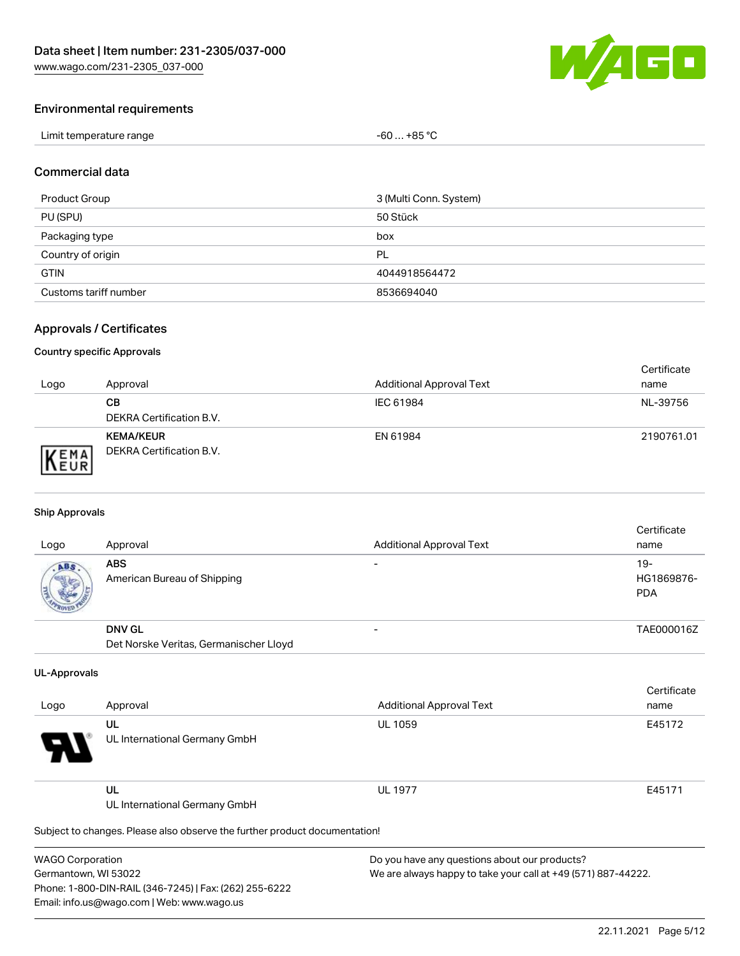

### Environmental requirements

| Limit temperature range | $-60+85 °C$ |
|-------------------------|-------------|
|-------------------------|-------------|

#### Commercial data

| Product Group         | 3 (Multi Conn. System) |
|-----------------------|------------------------|
| PU (SPU)              | 50 Stück               |
| Packaging type        | box                    |
| Country of origin     | PL                     |
| <b>GTIN</b>           | 4044918564472          |
| Customs tariff number | 8536694040             |

### Approvals / Certificates

#### Country specific Approvals

| Logo                | Approval                                            | <b>Additional Approval Text</b> | Certificate<br>name |
|---------------------|-----------------------------------------------------|---------------------------------|---------------------|
|                     | CВ<br><b>DEKRA Certification B.V.</b>               | IEC 61984                       | NL-39756            |
| EMA<br><b>INEUR</b> | <b>KEMA/KEUR</b><br><b>DEKRA Certification B.V.</b> | EN 61984                        | 2190761.01          |

#### Ship Approvals

| Logo | Approval                                  | <b>Additional Approval Text</b> | Certificate<br>name                |
|------|-------------------------------------------|---------------------------------|------------------------------------|
| ABS  | <b>ABS</b><br>American Bureau of Shipping |                                 | $19 -$<br>HG1869876-<br><b>PDA</b> |
|      | <b>DNV GL</b>                             |                                 | TAE000016Z                         |
|      | Det Norske Veritas, Germanischer Lloyd    |                                 |                                    |

#### UL-Approvals

| Logo     | Approval                            | <b>Additional Approval Text</b> | Certificate<br>name |
|----------|-------------------------------------|---------------------------------|---------------------|
| Ъ.<br>77 | UL<br>UL International Germany GmbH | <b>UL 1059</b>                  | E45172              |
| _____    | UL<br>UL International Germany GmbH | <b>UL 1977</b>                  | E45171              |

Subject to changes. Please also observe the further product documentation!

| <b>WAGO Corporation</b>                                |
|--------------------------------------------------------|
| Germantown, WI 53022                                   |
| Phone: 1-800-DIN-RAIL (346-7245)   Fax: (262) 255-6222 |
| Email: info.us@wago.com   Web: www.wago.us             |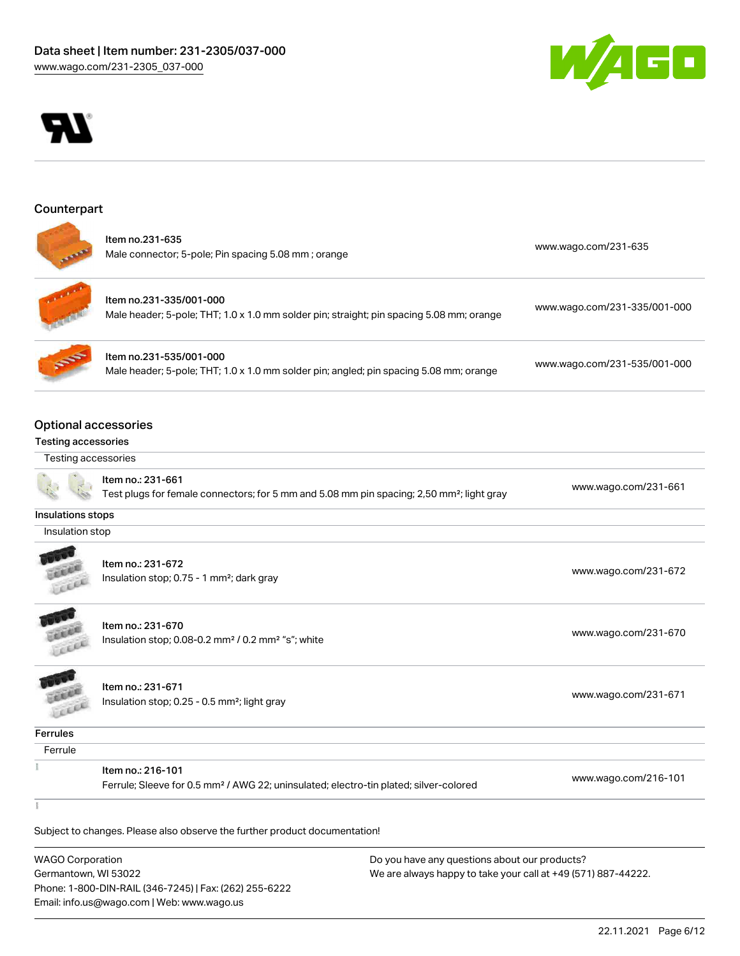



#### **Counterpart**



|  | ltem no.231-635<br>Male connector; 5-pole; Pin spacing 5.08 mm; orange | www.wago.com/231-635 |
|--|------------------------------------------------------------------------|----------------------|
|--|------------------------------------------------------------------------|----------------------|



Item no.231-335/001-000 Male header; 5-pole; THT; 1.0 x 1.0 mm solder pin; straight; pin spacing 5.08 mm; orange [www.wago.com/231-335/001-000](https://www.wago.com/231-335/001-000)



Item no.231-535/001-000 Male header; 5-pole; THT; 1.0 x 1.0 mm solder pin; angled; pin spacing 5.08 mm; orange [www.wago.com/231-535/001-000](https://www.wago.com/231-535/001-000)

### Optional accessories

#### Testing accessories

Testing accessories



Item no.: 231-661

Test plugs for female connectors; for 5 mm and 5.08 mm pin spacing; 2,50 mm²; light gray [www.wago.com/231-661](http://www.wago.com/231-661)

## Insulations stops

Insulation stop



Item no.: 231-672 Insulation stop; 0.75 - 1 mm<sup>2</sup>; dark gray [www.wago.com/231-672](http://www.wago.com/231-672)<br>Insulation stop; 0.75 - 1 mm<sup>2</sup>; dark gray



Item no.: 231-670 Insulation stop; 0.08-0.2 mm<sup>2</sup> / 0.2 mm<sup>2</sup> "s"; white [www.wago.com/231-670](http://www.wago.com/231-670) www.wago.com/231-670



Item no.: 231-671 Insulation stop; 0.25 - 0.5 mm²; light gray [www.wago.com/231-671](http://www.wago.com/231-671) www.wago.com/231-671

**Ferrules** 

| <br>۰, |
|--------|

 $\frac{1}{2}$ 

 $\frac{1}{2}$ 

Item no.: 216-101

Ferrule; Sleeve for 0.5 mm² / AWG 22; uninsulated; electro-tin plated; silver-colored [www.wago.com/216-101](http://www.wago.com/216-101)

Subject to changes. Please also observe the further product documentation!

WAGO Corporation Germantown, WI 53022 Phone: 1-800-DIN-RAIL (346-7245) | Fax: (262) 255-6222 Email: info.us@wago.com | Web: www.wago.us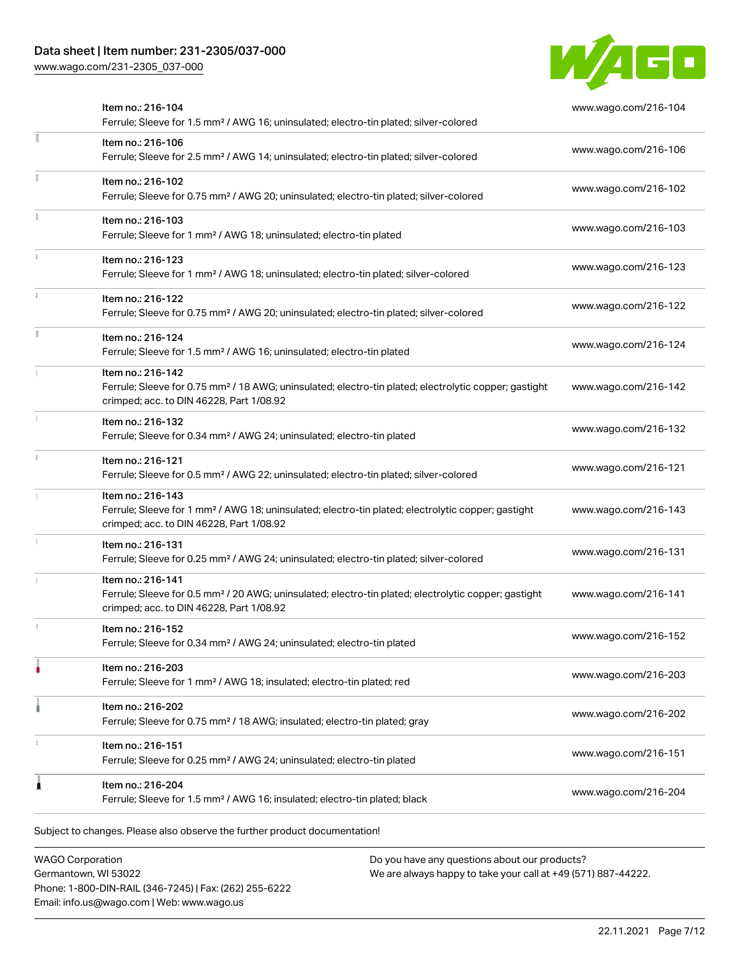### Data sheet | Item number: 231-2305/037-000

[www.wago.com/231-2305\\_037-000](http://www.wago.com/231-2305_037-000)



|    | Item no.: 216-104<br>Ferrule; Sleeve for 1.5 mm <sup>2</sup> / AWG 16; uninsulated; electro-tin plated; silver-colored                                                             | www.wago.com/216-104 |
|----|------------------------------------------------------------------------------------------------------------------------------------------------------------------------------------|----------------------|
|    | Item no.: 216-106<br>Ferrule; Sleeve for 2.5 mm <sup>2</sup> / AWG 14; uninsulated; electro-tin plated; silver-colored                                                             | www.wago.com/216-106 |
|    | Item no.: 216-102<br>Ferrule; Sleeve for 0.75 mm <sup>2</sup> / AWG 20; uninsulated; electro-tin plated; silver-colored                                                            | www.wago.com/216-102 |
|    | Item no.: 216-103<br>Ferrule; Sleeve for 1 mm <sup>2</sup> / AWG 18; uninsulated; electro-tin plated                                                                               | www.wago.com/216-103 |
|    | Item no.: 216-123<br>Ferrule; Sleeve for 1 mm <sup>2</sup> / AWG 18; uninsulated; electro-tin plated; silver-colored                                                               | www.wago.com/216-123 |
|    | Item no.: 216-122<br>Ferrule; Sleeve for 0.75 mm <sup>2</sup> / AWG 20; uninsulated; electro-tin plated; silver-colored                                                            | www.wago.com/216-122 |
| J. | Item no.: 216-124<br>Ferrule; Sleeve for 1.5 mm <sup>2</sup> / AWG 16; uninsulated; electro-tin plated                                                                             | www.wago.com/216-124 |
|    | Item no.: 216-142<br>Ferrule; Sleeve for 0.75 mm <sup>2</sup> / 18 AWG; uninsulated; electro-tin plated; electrolytic copper; gastight<br>crimped; acc. to DIN 46228, Part 1/08.92 | www.wago.com/216-142 |
|    | Item no.: 216-132<br>Ferrule; Sleeve for 0.34 mm <sup>2</sup> / AWG 24; uninsulated; electro-tin plated                                                                            | www.wago.com/216-132 |
|    | Item no.: 216-121<br>Ferrule; Sleeve for 0.5 mm <sup>2</sup> / AWG 22; uninsulated; electro-tin plated; silver-colored                                                             | www.wago.com/216-121 |
|    | Item no.: 216-143<br>Ferrule; Sleeve for 1 mm <sup>2</sup> / AWG 18; uninsulated; electro-tin plated; electrolytic copper; gastight<br>crimped; acc. to DIN 46228, Part 1/08.92    | www.wago.com/216-143 |
|    | Item no.: 216-131<br>Ferrule; Sleeve for 0.25 mm <sup>2</sup> / AWG 24; uninsulated; electro-tin plated; silver-colored                                                            | www.wago.com/216-131 |
|    | Item no.: 216-141<br>Ferrule; Sleeve for 0.5 mm <sup>2</sup> / 20 AWG; uninsulated; electro-tin plated; electrolytic copper; gastight<br>crimped; acc. to DIN 46228, Part 1/08.92  | www.wago.com/216-141 |
|    | Item no.: 216-152<br>Ferrule; Sleeve for 0.34 mm <sup>2</sup> / AWG 24; uninsulated; electro-tin plated                                                                            | www.wago.com/216-152 |
|    | Item no.: 216-203<br>Ferrule; Sleeve for 1 mm <sup>2</sup> / AWG 18; insulated; electro-tin plated; red                                                                            | www.wago.com/216-203 |
|    | Item no.: 216-202<br>Ferrule; Sleeve for 0.75 mm <sup>2</sup> / 18 AWG; insulated; electro-tin plated; gray                                                                        | www.wago.com/216-202 |
|    | Item no.: 216-151<br>Ferrule; Sleeve for 0.25 mm <sup>2</sup> / AWG 24; uninsulated; electro-tin plated                                                                            | www.wago.com/216-151 |
|    | Item no.: 216-204<br>Ferrule; Sleeve for 1.5 mm <sup>2</sup> / AWG 16; insulated; electro-tin plated; black                                                                        | www.wago.com/216-204 |

WAGO Corporation Germantown, WI 53022 Phone: 1-800-DIN-RAIL (346-7245) | Fax: (262) 255-6222 Email: info.us@wago.com | Web: www.wago.us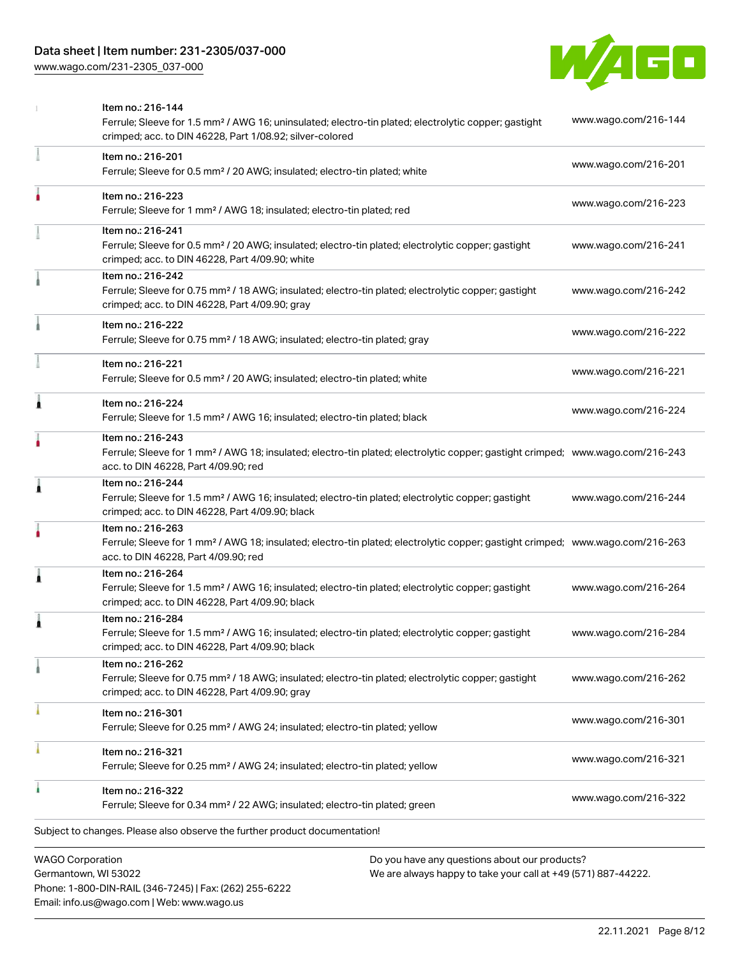### Data sheet | Item number: 231-2305/037-000

[www.wago.com/231-2305\\_037-000](http://www.wago.com/231-2305_037-000)



|   | <b>WAGO Corporation</b><br>Do you have any questions about our products?                                                                                                                                |                      |
|---|---------------------------------------------------------------------------------------------------------------------------------------------------------------------------------------------------------|----------------------|
|   | Subject to changes. Please also observe the further product documentation!                                                                                                                              |                      |
|   | Item no.: 216-322<br>Ferrule; Sleeve for 0.34 mm <sup>2</sup> / 22 AWG; insulated; electro-tin plated; green                                                                                            | www.wago.com/216-322 |
|   | Item no.: 216-321<br>Ferrule; Sleeve for 0.25 mm <sup>2</sup> / AWG 24; insulated; electro-tin plated; yellow                                                                                           | www.wago.com/216-321 |
|   | Item no.: 216-301<br>Ferrule; Sleeve for 0.25 mm <sup>2</sup> / AWG 24; insulated; electro-tin plated; yellow                                                                                           | www.wago.com/216-301 |
|   | Item no.: 216-262<br>Ferrule; Sleeve for 0.75 mm <sup>2</sup> / 18 AWG; insulated; electro-tin plated; electrolytic copper; gastight<br>crimped; acc. to DIN 46228, Part 4/09.90; gray                  | www.wago.com/216-262 |
|   | Item no.: 216-284<br>Ferrule; Sleeve for 1.5 mm <sup>2</sup> / AWG 16; insulated; electro-tin plated; electrolytic copper; gastight<br>crimped; acc. to DIN 46228, Part 4/09.90; black                  | www.wago.com/216-284 |
| Â | Item no.: 216-264<br>Ferrule; Sleeve for 1.5 mm <sup>2</sup> / AWG 16; insulated; electro-tin plated; electrolytic copper; gastight<br>crimped; acc. to DIN 46228, Part 4/09.90; black                  | www.wago.com/216-264 |
|   | Item no.: 216-263<br>Ferrule; Sleeve for 1 mm <sup>2</sup> / AWG 18; insulated; electro-tin plated; electrolytic copper; gastight crimped; www.wago.com/216-263<br>acc. to DIN 46228, Part 4/09.90; red |                      |
| 1 | Item no.: 216-244<br>Ferrule; Sleeve for 1.5 mm <sup>2</sup> / AWG 16; insulated; electro-tin plated; electrolytic copper; gastight<br>crimped; acc. to DIN 46228, Part 4/09.90; black                  | www.wago.com/216-244 |
|   | Item no.: 216-243<br>Ferrule; Sleeve for 1 mm <sup>2</sup> / AWG 18; insulated; electro-tin plated; electrolytic copper; gastight crimped; www.wago.com/216-243<br>acc. to DIN 46228, Part 4/09.90; red |                      |
| Ă | Item no.: 216-224<br>Ferrule; Sleeve for 1.5 mm <sup>2</sup> / AWG 16; insulated; electro-tin plated; black                                                                                             | www.wago.com/216-224 |
|   | Item no.: 216-221<br>Ferrule; Sleeve for 0.5 mm <sup>2</sup> / 20 AWG; insulated; electro-tin plated; white                                                                                             | www.wago.com/216-221 |
|   | Item no.: 216-222<br>Ferrule; Sleeve for 0.75 mm <sup>2</sup> / 18 AWG; insulated; electro-tin plated; gray                                                                                             | www.wago.com/216-222 |
|   | Item no.: 216-242<br>Ferrule; Sleeve for 0.75 mm <sup>2</sup> / 18 AWG; insulated; electro-tin plated; electrolytic copper; gastight<br>crimped; acc. to DIN 46228, Part 4/09.90; gray                  | www.wago.com/216-242 |
|   | Item no.: 216-241<br>Ferrule; Sleeve for 0.5 mm <sup>2</sup> / 20 AWG; insulated; electro-tin plated; electrolytic copper; gastight<br>crimped; acc. to DIN 46228, Part 4/09.90; white                  | www.wago.com/216-241 |
|   | Item no.: 216-223<br>Ferrule; Sleeve for 1 mm <sup>2</sup> / AWG 18; insulated; electro-tin plated; red                                                                                                 | www.wago.com/216-223 |
|   | Item no.: 216-201<br>Ferrule; Sleeve for 0.5 mm <sup>2</sup> / 20 AWG; insulated; electro-tin plated; white                                                                                             | www.wago.com/216-201 |
|   | Item no.: 216-144<br>Ferrule; Sleeve for 1.5 mm <sup>2</sup> / AWG 16; uninsulated; electro-tin plated; electrolytic copper; gastight<br>crimped; acc. to DIN 46228, Part 1/08.92; silver-colored       | www.wago.com/216-144 |

Germantown, WI 53022 Phone: 1-800-DIN-RAIL (346-7245) | Fax: (262) 255-6222 Email: info.us@wago.com | Web: www.wago.us

 $\overline{\phantom{\alpha}}$  any questions about o We are always happy to take your call at +49 (571) 887-44222.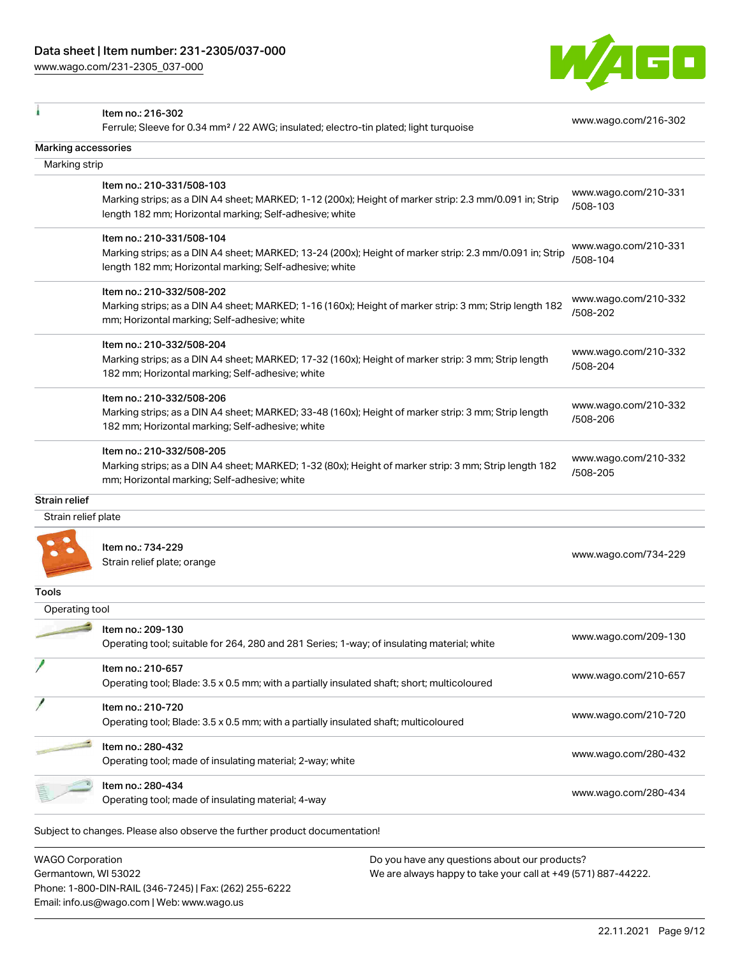Phone: 1-800-DIN-RAIL (346-7245) | Fax: (262) 255-6222

Email: info.us@wago.com | Web: www.wago.us

[www.wago.com/231-2305\\_037-000](http://www.wago.com/231-2305_037-000)



|                         | Item no.: 216-302                                                                                                                |                                                               | www.wago.com/216-302 |
|-------------------------|----------------------------------------------------------------------------------------------------------------------------------|---------------------------------------------------------------|----------------------|
|                         | Ferrule; Sleeve for 0.34 mm <sup>2</sup> / 22 AWG; insulated; electro-tin plated; light turquoise                                |                                                               |                      |
| Marking accessories     |                                                                                                                                  |                                                               |                      |
| Marking strip           |                                                                                                                                  |                                                               |                      |
|                         | Item no.: 210-331/508-103                                                                                                        |                                                               |                      |
|                         | Marking strips; as a DIN A4 sheet; MARKED; 1-12 (200x); Height of marker strip: 2.3 mm/0.091 in; Strip                           |                                                               | www.wago.com/210-331 |
|                         | length 182 mm; Horizontal marking; Self-adhesive; white                                                                          |                                                               | /508-103             |
|                         | Item no.: 210-331/508-104                                                                                                        |                                                               |                      |
|                         | Marking strips; as a DIN A4 sheet; MARKED; 13-24 (200x); Height of marker strip: 2.3 mm/0.091 in; Strip                          |                                                               | www.wago.com/210-331 |
|                         | length 182 mm; Horizontal marking; Self-adhesive; white                                                                          |                                                               | /508-104             |
|                         | Item no.: 210-332/508-202                                                                                                        |                                                               |                      |
|                         | Marking strips; as a DIN A4 sheet; MARKED; 1-16 (160x); Height of marker strip: 3 mm; Strip length 182                           |                                                               | www.wago.com/210-332 |
|                         | mm; Horizontal marking; Self-adhesive; white                                                                                     |                                                               | /508-202             |
|                         |                                                                                                                                  |                                                               |                      |
|                         | Item no.: 210-332/508-204<br>Marking strips; as a DIN A4 sheet; MARKED; 17-32 (160x); Height of marker strip: 3 mm; Strip length |                                                               | www.wago.com/210-332 |
|                         | 182 mm; Horizontal marking; Self-adhesive; white                                                                                 |                                                               | /508-204             |
|                         |                                                                                                                                  |                                                               |                      |
|                         | Item no.: 210-332/508-206                                                                                                        |                                                               | www.wago.com/210-332 |
|                         | Marking strips; as a DIN A4 sheet; MARKED; 33-48 (160x); Height of marker strip: 3 mm; Strip length                              |                                                               | /508-206             |
|                         | 182 mm; Horizontal marking; Self-adhesive; white                                                                                 |                                                               |                      |
|                         | Item no.: 210-332/508-205                                                                                                        |                                                               | www.wago.com/210-332 |
|                         | Marking strips; as a DIN A4 sheet; MARKED; 1-32 (80x); Height of marker strip: 3 mm; Strip length 182                            |                                                               | /508-205             |
|                         | mm; Horizontal marking; Self-adhesive; white                                                                                     |                                                               |                      |
| Strain relief           |                                                                                                                                  |                                                               |                      |
| Strain relief plate     |                                                                                                                                  |                                                               |                      |
|                         |                                                                                                                                  |                                                               |                      |
|                         | Item no.: 734-229                                                                                                                |                                                               | www.wago.com/734-229 |
|                         | Strain relief plate; orange                                                                                                      |                                                               |                      |
| Tools                   |                                                                                                                                  |                                                               |                      |
| Operating tool          |                                                                                                                                  |                                                               |                      |
|                         | Item no.: 209-130                                                                                                                |                                                               |                      |
|                         | Operating tool; suitable for 264, 280 and 281 Series; 1-way; of insulating material; white                                       |                                                               | www.wago.com/209-130 |
|                         |                                                                                                                                  |                                                               |                      |
|                         | Item no.: 210-657                                                                                                                |                                                               | www.wago.com/210-657 |
|                         | Operating tool; Blade: 3.5 x 0.5 mm; with a partially insulated shaft; short; multicoloured                                      |                                                               |                      |
|                         | Item no.: 210-720                                                                                                                |                                                               |                      |
|                         | Operating tool; Blade: 3.5 x 0.5 mm; with a partially insulated shaft; multicoloured                                             |                                                               | www.wago.com/210-720 |
|                         | Item no.: 280-432                                                                                                                |                                                               |                      |
|                         | Operating tool; made of insulating material; 2-way; white                                                                        |                                                               | www.wago.com/280-432 |
|                         |                                                                                                                                  |                                                               |                      |
|                         | Item no.: 280-434                                                                                                                |                                                               | www.wago.com/280-434 |
|                         | Operating tool; made of insulating material; 4-way                                                                               |                                                               |                      |
|                         | Subject to changes. Please also observe the further product documentation!                                                       |                                                               |                      |
| <b>WAGO Corporation</b> |                                                                                                                                  | Do you have any questions about our products?                 |                      |
| Germantown, WI 53022    |                                                                                                                                  | We are always happy to take your call at +49 (571) 887-44222. |                      |
|                         |                                                                                                                                  |                                                               |                      |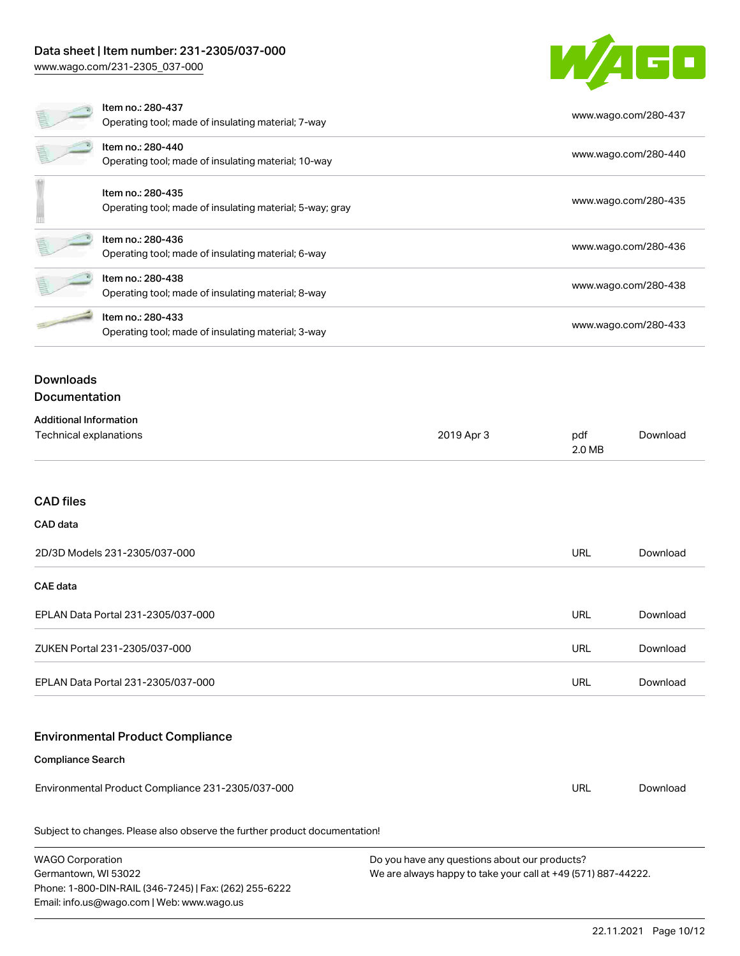### Data sheet | Item number: 231-2305/037-000

[www.wago.com/231-2305\\_037-000](http://www.wago.com/231-2305_037-000)

Email: info.us@wago.com | Web: www.wago.us

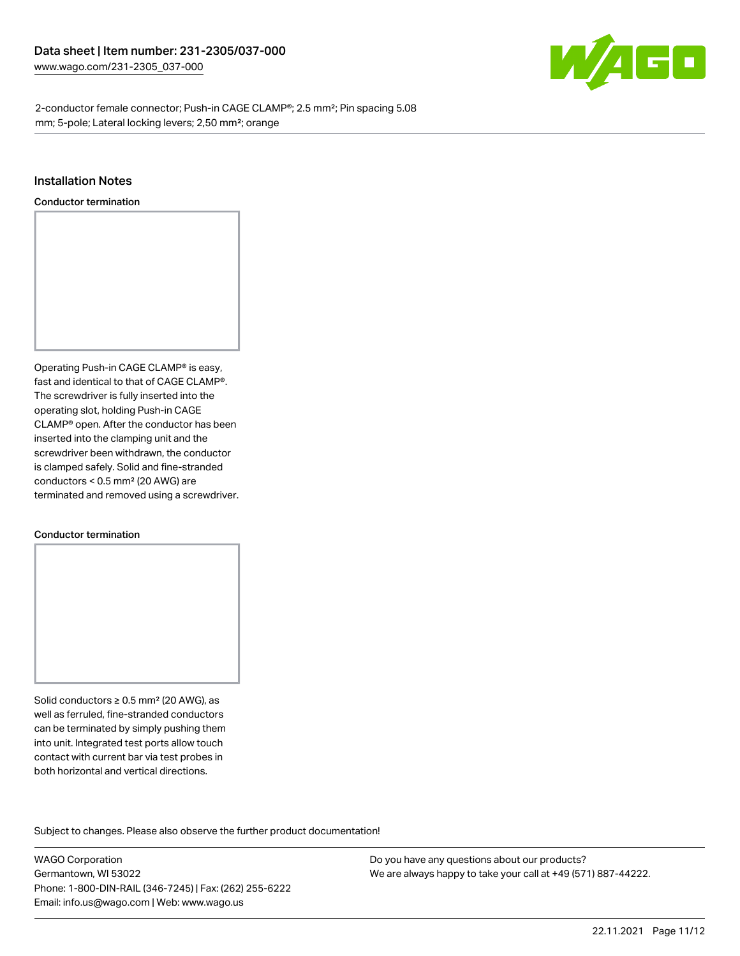

2-conductor female connector; Push-in CAGE CLAMP®; 2.5 mm²; Pin spacing 5.08 mm; 5-pole; Lateral locking levers; 2,50 mm²; orange

#### Installation Notes

Conductor termination



#### Conductor termination

Solid conductors ≥ 0.5 mm² (20 AWG), as well as ferruled, fine-stranded conductors can be terminated by simply pushing them into unit. Integrated test ports allow touch contact with current bar via test probes in both horizontal and vertical directions.

Subject to changes. Please also observe the further product documentation! Product family

WAGO Corporation Germantown, WI 53022 Phone: 1-800-DIN-RAIL (346-7245) | Fax: (262) 255-6222 Email: info.us@wago.com | Web: www.wago.us